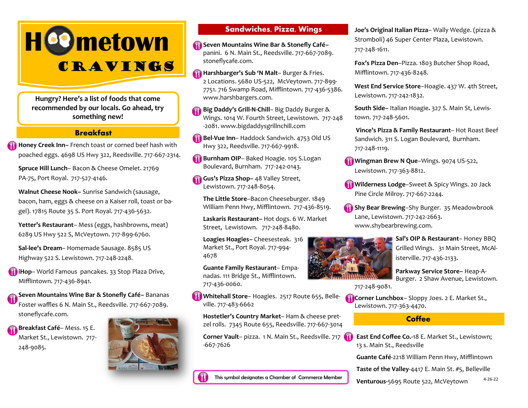# **H**Cometown CRAVINGS

**Hungry? Here's a list of foods that come recommended by our locals. Go ahead, try something new!**

# **Breakfast**

**Honey Creek Inn–** French toast or corned beef hash with poached eggs. 4698 US Hwy 322, Reedsville. 717-667-2314.

**Spruce Hill Lunch**– Bacon & Cheese Omelet. 21769 PA-75, Port Royal. 717-527-4146.

**Walnut Cheese Nook–** Sunrise Sandwich (sausage, bacon, ham, eggs & cheese on a Kaiser roll, toast or bagel). 17815 Route 35 S. Port Royal. 717-436-5632.

**Yetter's Restaurant**– Mess (eggs, hashbrowns, meat) 6289 US Hwy 522 S, McVeytown. 717-899-6760.

**Sal-lee's Dream**– Homemade Sausage. 8585 US Highway 522 S. Lewistown. 717-248-2248.

**iHop**– World Famous pancakes. 33 Stop Plaza Drive, Mifflintown. 717-436-8941.

**Seven Mountains Wine Bar & Stonefly Café–** Bananas Foster waffles 6 N. Main St., Reedsville. 717-667-7089. stoneflycafe.com.

**Breakfast Café**– Mess. 15 E. Market St., Lewistown. 717- 248-9085.



# **Sandwiches, Pizza, Wings**

**Seven Mountains Wine Bar & Stonefly Café–**  panini. 6 N. Main St., Reedsville. 717-667-7089. stoneflycafe.com.

**Harshbarger's Sub 'N Malt**– Burger & Fries. 2 Locations. 5680 US-522, McVeytown. 717-899- 7751. 716 Swamp Road, Mifflintown. 717-436-5386. www.harshbargers.com.

**Big Daddy's Grill-N-Chill**– Big Daddy Burger & Wings. 1014 W. Fourth Street, Lewistown. 717-248 -2081. www.bigdaddysgrillnchill.com

**Bel-Vue Inn-** Haddock Sandwich. 4753 Old US Hwy 322, Reedsville. 717-667-9918.

**Burnham OIP**– Baked Hoagie. 105 S.Logan Boulevard, Burnham. 717-242-0143.

**Gus's Pizza Shop–** 48 Valley Street, Lewistown. 717-248-8054.

**The Little Store**–Bacon Cheeseburger. 1849 William Penn Hwy, Mifflintown. 717-436-8519.

**Laskaris Restaurant–** Hot dogs. 6 W. Market Street, Lewistown. 717-248-8480.

**Loagies Hoagies–** Cheesesteak. 316 Market St., Port Royal. 717-994- 4678

**Guante Family Restaurant**– Empanadas. 111 Bridge St., Mifflintown. 717-436-0060.

**Whitehall Store**– Hoagies. 2517 Route 655, Belleville. 717-483-6662

**Hostetler's Country Market**– Ham & cheese pretzel rolls. 7345 Route 655, Reedsville. 717-667-3014

**Corner Vault**– pizza. 1 N. Main St., Reedsville. 717 -667-7626

This symbol designates a Chamber of Commerce Member

**Joe's Original Italian Pizza**– Wally Wedge. (pizza & Stromboli) 46 Super Center Plaza, Lewistown. 717-248-1611.

**Fox's Pizza Den**–Pizza. 1803 Butcher Shop Road, Mifflintown. 717-436-8248.

**West End Service Store**–Hoagie. 437 W. 4th Street, Lewistown. 717-242-1832.

**South Side–** Italian Hoagie**.** 327 S. Main St, Lewistown. 717-248-5601.

**Vince's Pizza & Family Restaurant**– Hot Roast Beef Sandwich. 311 S. Logan Boulevard, Burnham. 717-248-1119.

**Wingman Brew N Que-**Wings. 9074 US-522, Lewistown. 717-363-8812.

**Wilderness Lodge**–Sweet & Spicy Wings. 20 Jack Pine Circle Milroy. 717-667-2244.

**Shy Bear Brewing**–Shy Burger. 35 Meadowbrook Lane, Lewistown. 717-242-2663. www.shybearbrewing.com.



**Sal's OIP & Restaurant**– Honey BBQ Grilled Wings. 31 Main Street, McAlisterville. 717-436-2133.

**Parkway Service Store–** Heap-A-Burger. 2 Shaw Avenue, Lewistown.

717-248-9081.

**Corner Lunchbox**– Sloppy Joes. 2 E. Market St., Lewistown. 717-363-4470.

## **Coffee**

**East End Coffee Co.-**18 E. Market St., Lewistown; 13 s. Main St., Reedsville

**Guante Café**-2218 William Penn Hwy, Mifflintown

**Taste of the Valley**-4417 E. Main St. #5, Belleville

4-26-22 **Venturous-**5695 Route 522, McVeytown